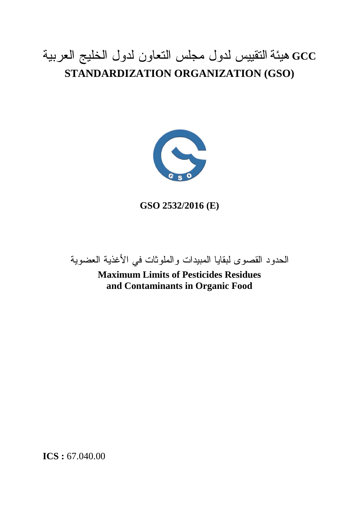# **GCC هيئة التقييس لدول مجلس التعاون لدول الخليج العربية STANDARDIZATION ORGANIZATION (GSO)**



**GSO 2532/2016 (E)**

**الحدود القصوى لبقايا المبيدات والملوثات في األغذية العضوية**

**Maximum Limits of Pesticides Residues and Contaminants in Organic Food**

**ICS :** 67.040.00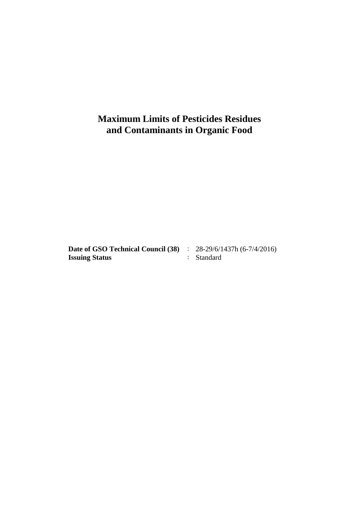## **Maximum Limits of Pesticides Residues and Contaminants in Organic Food**

**Date of GSO Technical Council (38)** : 28-29/6/1437h (6-7/4/2016)<br>**Issuing Status** : Standard **Issuing Status**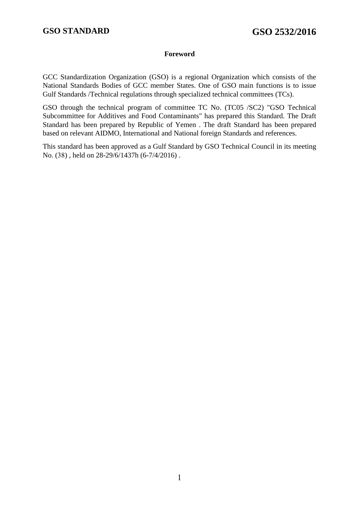#### **Foreword**

GCC Standardization Organization (GSO) is a regional Organization which consists of the National Standards Bodies of GCC member States. One of GSO main functions is to issue Gulf Standards /Technical regulations through specialized technical committees (TCs).

GSO through the technical program of committee TC No. (TC05 /SC2) "GSO Technical Subcommittee for Additives and Food Contaminants" has prepared this Standard. The Draft Standard has been prepared by Republic of Yemen . The draft Standard has been prepared based on relevant AIDMO, International and National foreign Standards and references.

This standard has been approved as a Gulf Standard by GSO Technical Council in its meeting No. (38) , held on 28-29/6/1437h (6-7/4/2016) .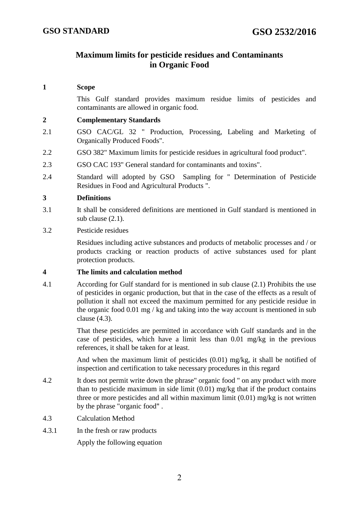### **Maximum limits for pesticide residues and Contaminants in Organic Food**

#### **1 Scope**

This Gulf standard provides maximum residue limits of pesticides and contaminants are allowed in organic food.

#### **2 Complementary Standards**

- 2.1 GSO CAC/GL 32 " Production, Processing, Labeling and Marketing of Organically Produced Foods".
- 2.2 GSO 382" Maximum limits for pesticide residues in agricultural food product".
- 2.3 GSO CAC 193" General standard for contaminants and toxins".
- 2.4 Standard will adopted by GSO Sampling for " Determination of Pesticide Residues in Food and Agricultural Products ".

#### **3 Definitions**

- 3.1 It shall be considered definitions are mentioned in Gulf standard is mentioned in sub clause (2.1).
- 3.2 Pesticide residues

Residues including active substances and products of metabolic processes and / or products cracking or reaction products of active substances used for plant protection products.

#### **4 The limits and calculation method**

4.1 According for Gulf standard for is mentioned in sub clause (2.1) Prohibits the use of pesticides in organic production, but that in the case of the effects as a result of pollution it shall not exceed the maximum permitted for any pesticide residue in the organic food 0.01 mg / kg and taking into the way account is mentioned in sub clause (4.3).

> That these pesticides are permitted in accordance with Gulf standards and in the case of pesticides, which have a limit less than 0.01 mg/kg in the previous references, it shall be taken for at least.

> And when the maximum limit of pesticides (0.01) mg/kg, it shall be notified of inspection and certification to take necessary procedures in this regard

- 4.2 It does not permit write down the phrase" organic food " on any product with more than to pesticide maximum in side limit  $(0.01)$  mg/kg that if the product contains three or more pesticides and all within maximum limit (0.01) mg/kg is not written by the phrase "organic food" .
- 4.3 Calculation Method
- 4.3.1 In the fresh or raw products

Apply the following equation